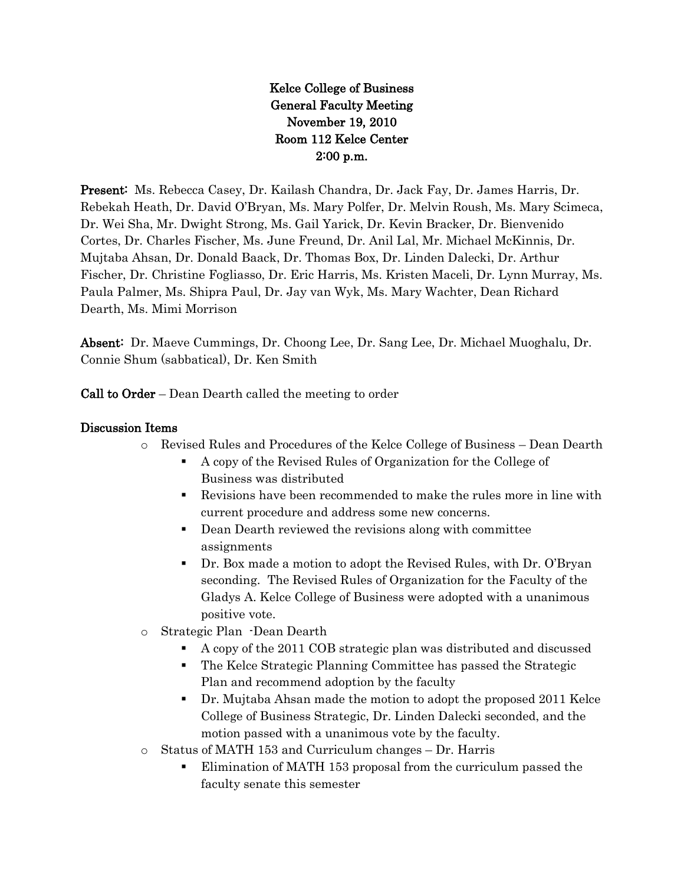Kelce College of Business General Faculty Meeting November 19, 2010 Room 112 Kelce Center 2:00 p.m.

Present: Ms. Rebecca Casey, Dr. Kailash Chandra, Dr. Jack Fay, Dr. James Harris, Dr. Rebekah Heath, Dr. David O'Bryan, Ms. Mary Polfer, Dr. Melvin Roush, Ms. Mary Scimeca, Dr. Wei Sha, Mr. Dwight Strong, Ms. Gail Yarick, Dr. Kevin Bracker, Dr. Bienvenido Cortes, Dr. Charles Fischer, Ms. June Freund, Dr. Anil Lal, Mr. Michael McKinnis, Dr. Mujtaba Ahsan, Dr. Donald Baack, Dr. Thomas Box, Dr. Linden Dalecki, Dr. Arthur Fischer, Dr. Christine Fogliasso, Dr. Eric Harris, Ms. Kristen Maceli, Dr. Lynn Murray, Ms. Paula Palmer, Ms. Shipra Paul, Dr. Jay van Wyk, Ms. Mary Wachter, Dean Richard Dearth, Ms. Mimi Morrison

Absent: Dr. Maeve Cummings, Dr. Choong Lee, Dr. Sang Lee, Dr. Michael Muoghalu, Dr. Connie Shum (sabbatical), Dr. Ken Smith

Call to Order – Dean Dearth called the meeting to order

#### Discussion Items

- o Revised Rules and Procedures of the Kelce College of Business Dean Dearth
	- A copy of the Revised Rules of Organization for the College of Business was distributed
	- Revisions have been recommended to make the rules more in line with current procedure and address some new concerns.
	- Dean Dearth reviewed the revisions along with committee assignments
	- Dr. Box made a motion to adopt the Revised Rules, with Dr. O'Bryan seconding. The Revised Rules of Organization for the Faculty of the Gladys A. Kelce College of Business were adopted with a unanimous positive vote.
- o Strategic Plan -Dean Dearth
	- A copy of the 2011 COB strategic plan was distributed and discussed
	- The Kelce Strategic Planning Committee has passed the Strategic Plan and recommend adoption by the faculty
	- Dr. Mujtaba Ahsan made the motion to adopt the proposed 2011 Kelce College of Business Strategic, Dr. Linden Dalecki seconded, and the motion passed with a unanimous vote by the faculty.
- o Status of MATH 153 and Curriculum changes Dr. Harris
	- Elimination of MATH 153 proposal from the curriculum passed the faculty senate this semester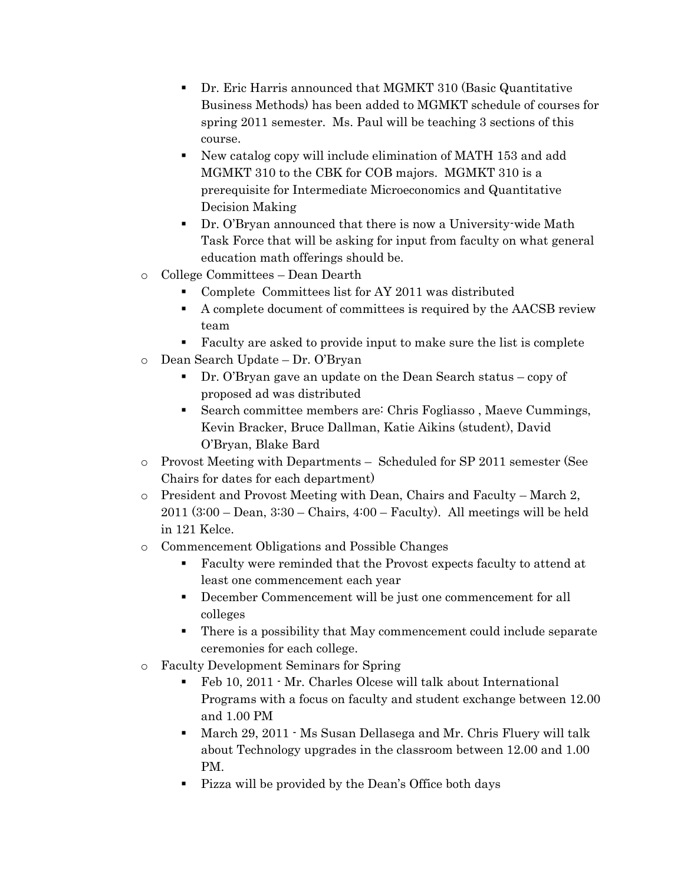- Dr. Eric Harris announced that MGMKT 310 (Basic Quantitative Business Methods) has been added to MGMKT schedule of courses for spring 2011 semester. Ms. Paul will be teaching 3 sections of this course.
- New catalog copy will include elimination of MATH 153 and add MGMKT 310 to the CBK for COB majors. MGMKT 310 is a prerequisite for Intermediate Microeconomics and Quantitative Decision Making
- Dr. O'Bryan announced that there is now a University-wide Math Task Force that will be asking for input from faculty on what general education math offerings should be.
- o College Committees Dean Dearth
	- Complete Committees list for AY 2011 was distributed
	- A complete document of committees is required by the AACSB review team
	- Faculty are asked to provide input to make sure the list is complete
- o Dean Search Update Dr. O'Bryan
	- Dr. O'Bryan gave an update on the Dean Search status copy of proposed ad was distributed
	- Search committee members are: Chris Fogliasso , Maeve Cummings, Kevin Bracker, Bruce Dallman, Katie Aikins (student), David O'Bryan, Blake Bard
- o Provost Meeting with Departments Scheduled for SP 2011 semester (See Chairs for dates for each department)
- $\circ$  President and Provost Meeting with Dean, Chairs and Faculty March 2, 2011 (3:00 – Dean, 3:30 – Chairs, 4:00 – Faculty). All meetings will be held in 121 Kelce.
- o Commencement Obligations and Possible Changes
	- Faculty were reminded that the Provost expects faculty to attend at least one commencement each year
	- December Commencement will be just one commencement for all colleges
	- There is a possibility that May commencement could include separate ceremonies for each college.
- o Faculty Development Seminars for Spring
	- Feb 10, 2011 Mr. Charles Olcese will talk about International Programs with a focus on faculty and student exchange between 12.00 and 1.00 PM
	- March 29, 2011 Ms Susan Dellasega and Mr. Chris Fluery will talk about Technology upgrades in the classroom between 12.00 and 1.00 PM.
	- Pizza will be provided by the Dean's Office both days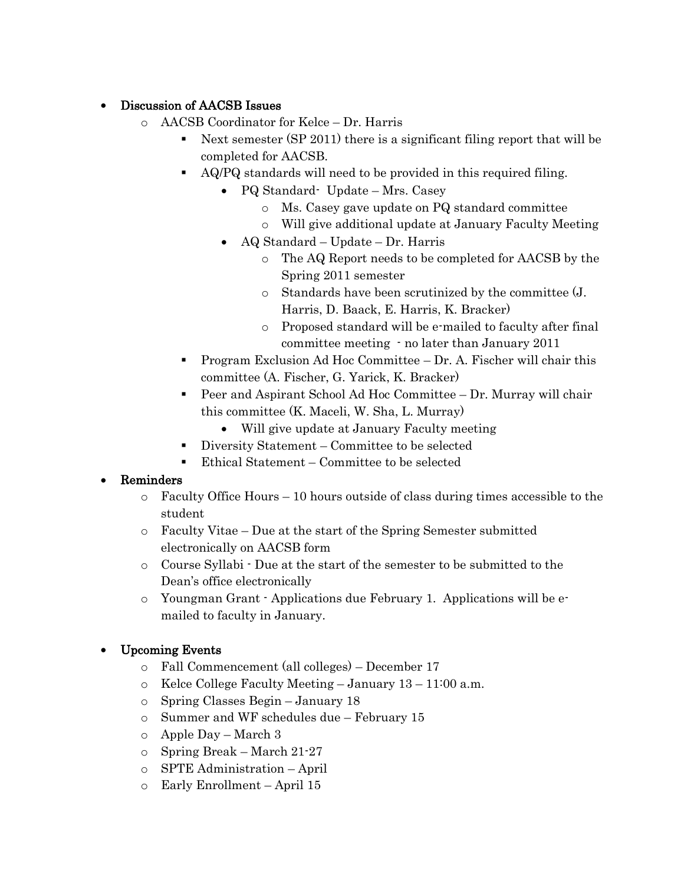### Discussion of AACSB Issues

- o AACSB Coordinator for Kelce Dr. Harris
	- Next semester (SP 2011) there is a significant filing report that will be completed for AACSB.
	- AQ/PQ standards will need to be provided in this required filing.
		- PQ Standard- Update Mrs. Casey
			- o Ms. Casey gave update on PQ standard committee
			- o Will give additional update at January Faculty Meeting
		- AQ Standard Update Dr. Harris
			- o The AQ Report needs to be completed for AACSB by the Spring 2011 semester
			- o Standards have been scrutinized by the committee (J. Harris, D. Baack, E. Harris, K. Bracker)
			- o Proposed standard will be e-mailed to faculty after final committee meeting - no later than January 2011
	- Program Exclusion Ad Hoc Committee Dr. A. Fischer will chair this committee (A. Fischer, G. Yarick, K. Bracker)
	- Peer and Aspirant School Ad Hoc Committee Dr. Murray will chair this committee (K. Maceli, W. Sha, L. Murray)
		- Will give update at January Faculty meeting
	- Diversity Statement Committee to be selected
	- Ethical Statement Committee to be selected

# Reminders

- o Faculty Office Hours 10 hours outside of class during times accessible to the student
- o Faculty Vitae Due at the start of the Spring Semester submitted electronically on AACSB form
- o Course Syllabi Due at the start of the semester to be submitted to the Dean's office electronically
- o Youngman Grant Applications due February 1. Applications will be emailed to faculty in January.

# Upcoming Events

- o Fall Commencement (all colleges) December 17
- $\circ$  Kelce College Faculty Meeting January 13 11:00 a.m.
- o Spring Classes Begin January 18
- o Summer and WF schedules due February 15
- o Apple Day March 3
- o Spring Break March 21-27
- o SPTE Administration April
- o Early Enrollment April 15